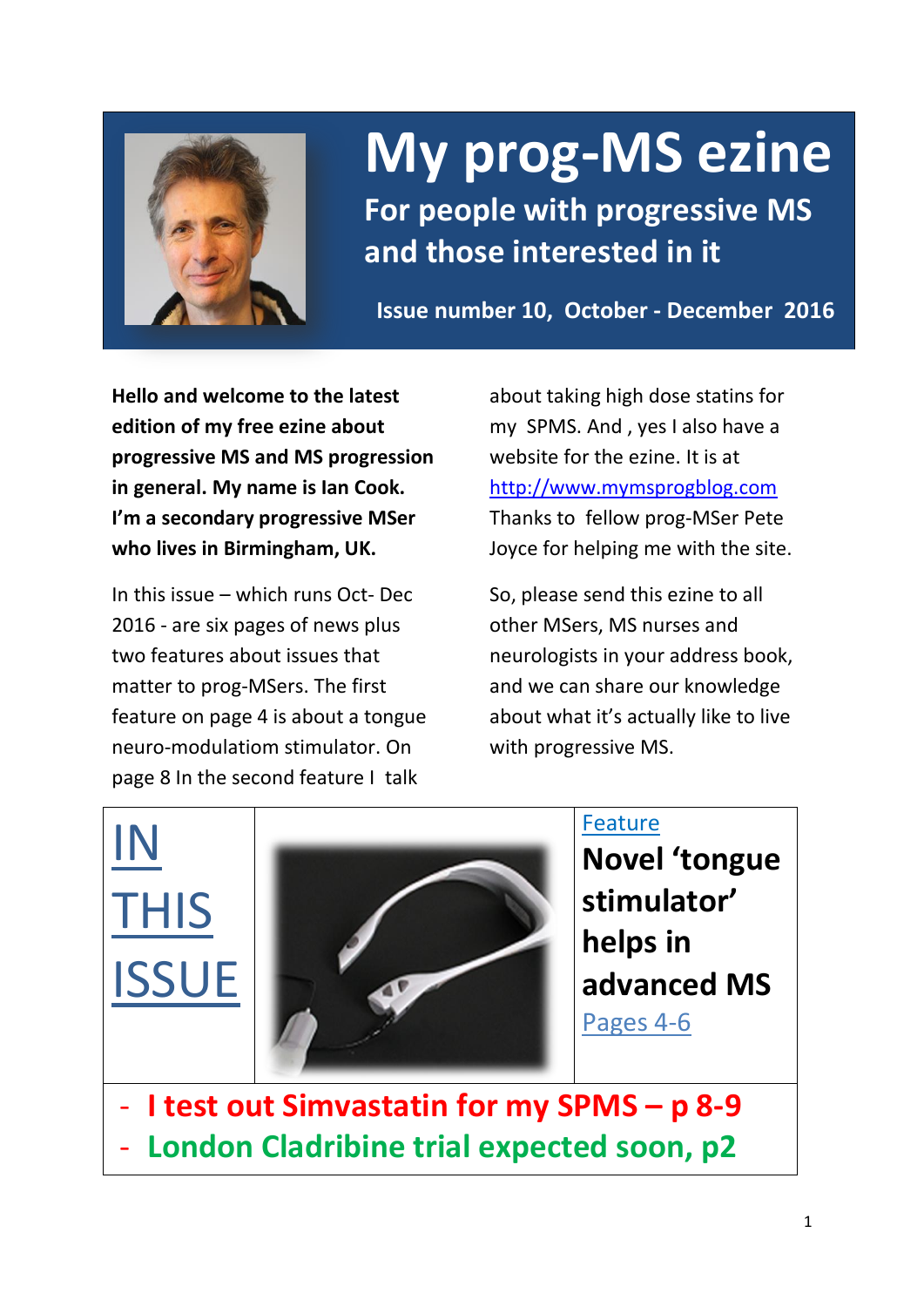

# **My prog-MS ezine**

**For people with progressive MS and those interested in it**

**Issue number 10, October - December 2016**

**Hello and welcome to the latest edition of my free ezine about progressive MS and MS progression in general. My name is Ian Cook. I'm a secondary progressive MSer who lives in Birmingham, UK.** 

In this issue – which runs Oct- Dec 2016 - are six pages of news plus two features about issues that matter to prog-MSers. The first feature on page 4 is about a tongue neuro-modulatiom stimulator. On page 8 In the second feature I talk

about taking high dose statins for my SPMS. And , yes I also have a website for the ezine. It is at [http://www.mymsprogblog.com](http://www.mymsprogblog.com/) Thanks to fellow prog-MSer Pete Joyce for helping me with the site.

So, please send this ezine to all other MSers, MS nurses and neurologists in your address book, and we can share our knowledge about what it's actually like to live with progressive MS.

IN THIS ISSUE



Feature

**Novel 'tongue stimulator' helps in advanced MS** Pages 4-6

- **I test out Simvastatin for my SPMS – p 8-9** - **London Cladribine trial expected soon, p2**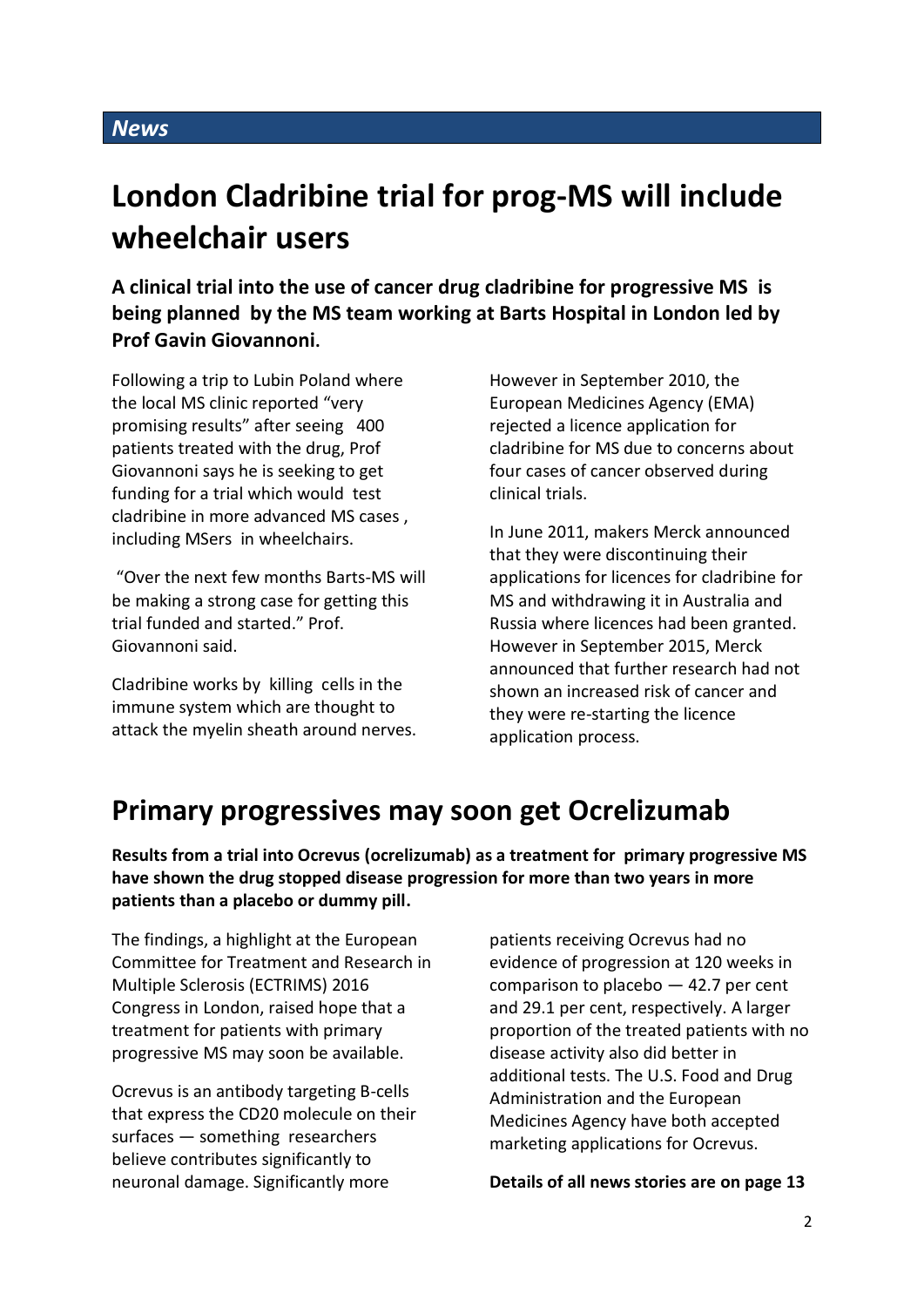# **London Cladribine trial for prog-MS will include wheelchair users**

**A clinical trial into the use of cancer drug cladribine for progressive MS is being planned by the MS team working at Barts Hospital in London led by Prof Gavin Giovannoni.**

Following a trip to Lubin Poland where the local MS clinic reported "very promising results" after seeing 400 patients treated with the drug, Prof Giovannoni says he is seeking to get funding for a trial which would test cladribine in more advanced MS cases , including MSers in wheelchairs.

"Over the next few months Barts-MS will be making a strong case for getting this trial funded and started." Prof. Giovannoni said.

Cladribine works by killing cells in the immune system which are thought to attack the myelin sheath around nerves.

However in September 2010, the European Medicines Agency (EMA) rejected a licence application for cladribine for MS due to concerns about four cases of cancer observed during clinical trials.

In June 2011, makers Merck announced that they were discontinuing their applications for licences for cladribine for MS and withdrawing it in Australia and Russia where licences had been granted. However in September 2015, Merck announced that further research had not shown an increased risk of cancer and they were re-starting the licence application process.

# **Primary progressives may soon get Ocrelizumab**

**Results from a trial into Ocrevus (ocrelizumab) as a treatment for primary progressive MS have shown the drug stopped disease progression for more than two years in more patients than a placebo or dummy pill.**

The findings, a highlight at the European Committee for Treatment and Research in Multiple Sclerosis (ECTRIMS) 2016 Congress in London, raised hope that a treatment for patients with primary progressive MS may soon be available.

Ocrevus is an antibody targeting B-cells that express the CD20 molecule on their surfaces — something researchers believe contributes significantly to neuronal damage. Significantly more

patients receiving Ocrevus had no evidence of progression at 120 weeks in comparison to placebo  $-42.7$  per cent and 29.1 per cent, respectively. A larger proportion of the treated patients with no disease activity also did better in additional tests. The U.S. Food and Drug Administration and the European Medicines Agency have both accepted marketing applications for Ocrevus.

**Details of all news stories are on page 13**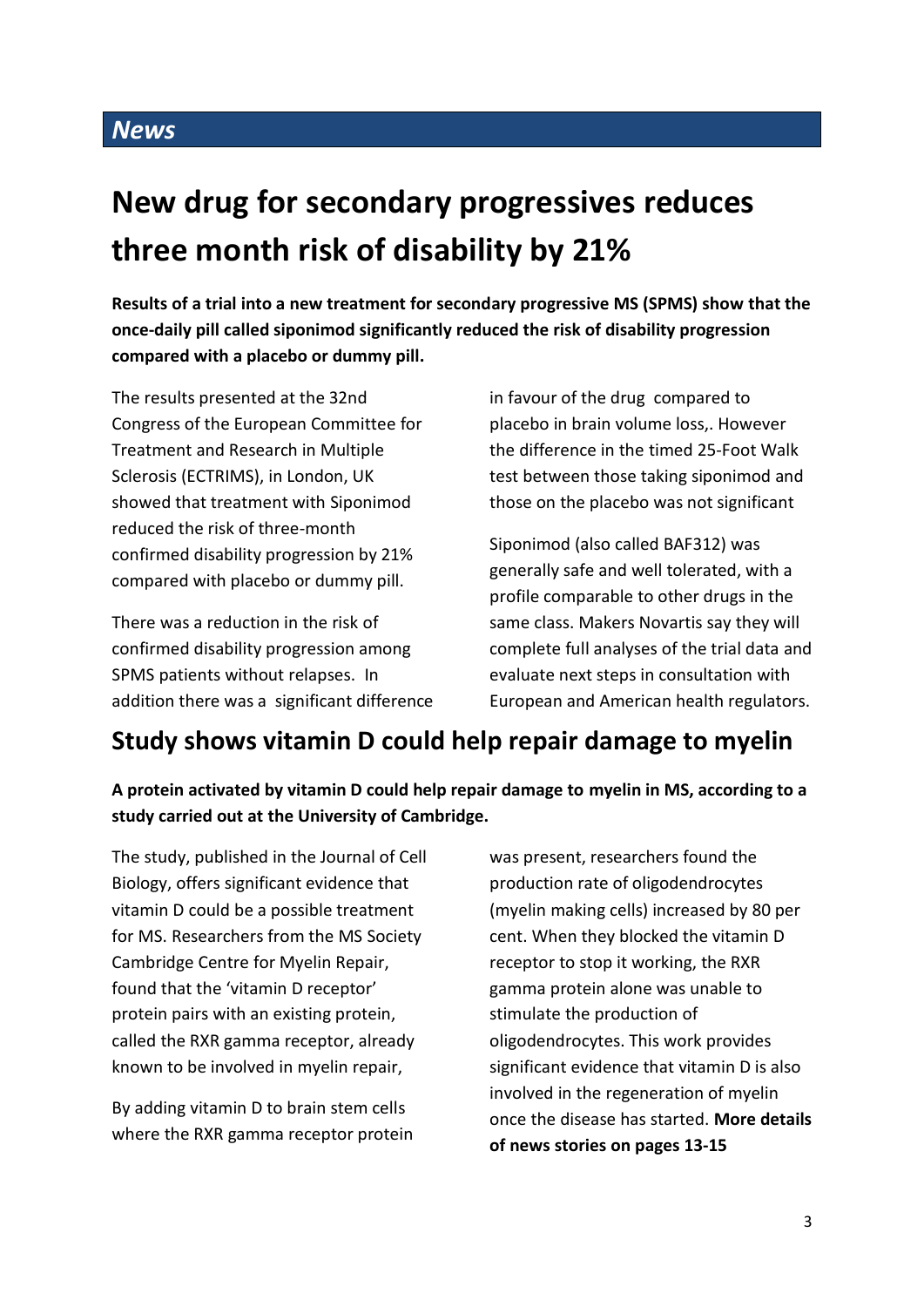# **New drug for secondary progressives reduces three month risk of disability by 21%**

**Results of a trial into a new treatment for secondary progressive MS (SPMS) show that the once-daily pill called siponimod significantly reduced the risk of disability progression compared with a placebo or dummy pill.** 

The results presented at the 32nd Congress of the European Committee for Treatment and Research in Multiple Sclerosis (ECTRIMS), in London, UK showed that treatment with Siponimod reduced the risk of three-month confirmed disability progression by 21% compared with placebo or dummy pill.

There was a reduction in the risk of confirmed disability progression among SPMS patients without relapses. In addition there was a significant difference in favour of the drug compared to placebo in brain volume loss,. However the difference in the timed 25-Foot Walk test between those taking siponimod and those on the placebo was not significant

Siponimod (also called BAF312) was generally safe and well tolerated, with a profile comparable to other drugs in the same class. Makers Novartis say they will complete full analyses of the trial data and evaluate next steps in consultation with European and American health regulators.

# **Study shows vitamin D could help repair damage to myelin**

**A protein activated by vitamin D could help repair damage to myelin in MS, according to a study carried out at the University of Cambridge.**

The study, published in the Journal of Cell Biology, offers significant evidence that vitamin D could be a possible treatment for MS. Researchers from the MS Society Cambridge Centre for Myelin Repair, found that the 'vitamin D receptor' protein pairs with an existing protein, called the RXR gamma receptor, already known to be involved in myelin repair,

By adding vitamin D to brain stem cells where the RXR gamma receptor protein was present, researchers found the production rate of oligodendrocytes (myelin making cells) increased by 80 per cent. When they blocked the vitamin D receptor to stop it working, the RXR gamma protein alone was unable to stimulate the production of oligodendrocytes. This work provides significant evidence that vitamin D is also involved in the regeneration of myelin once the disease has started. **More details of news stories on pages 13-15**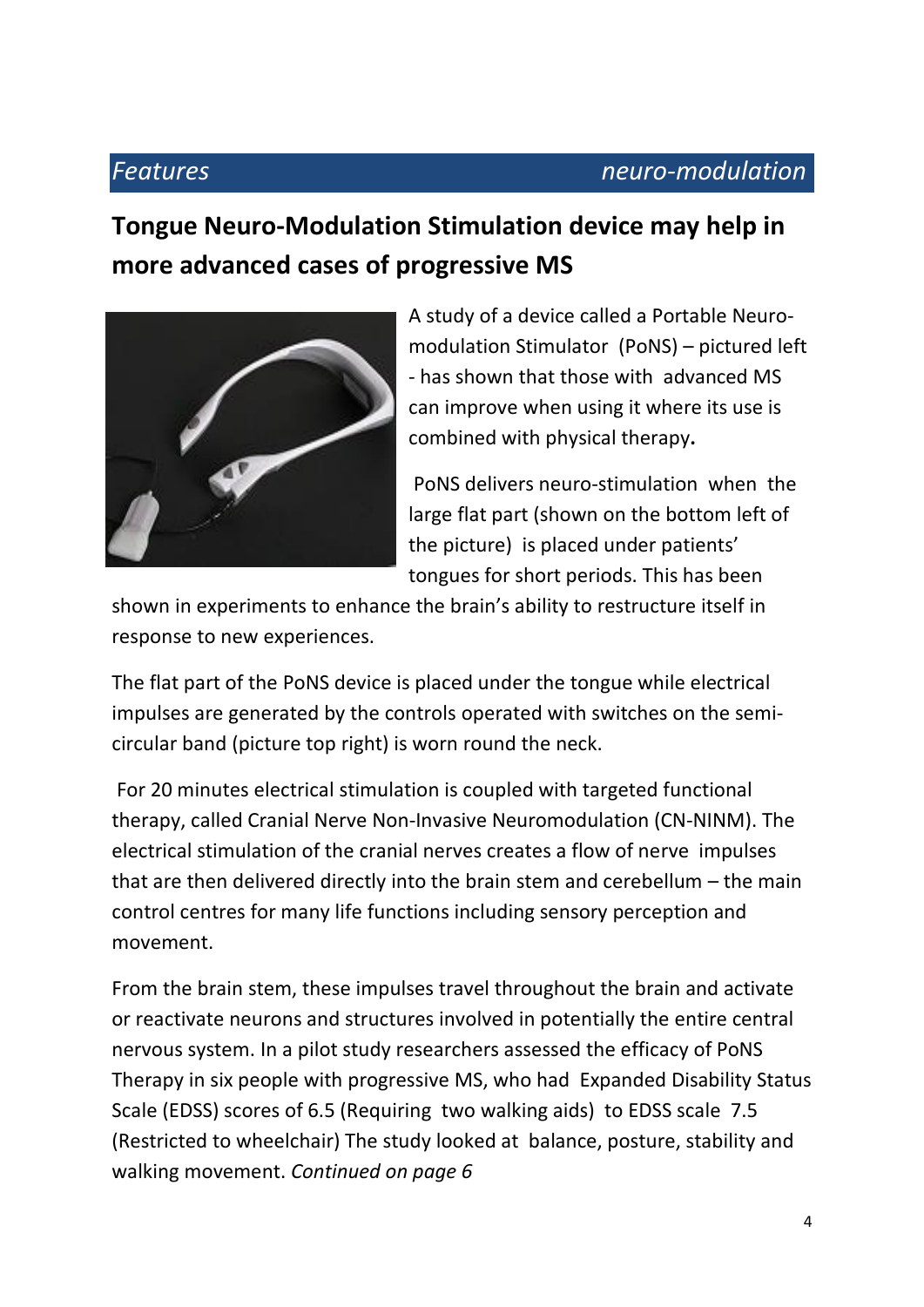# *Features neuro-modulation*

# **Tongue Neuro-Modulation Stimulation device may help in more advanced cases of progressive MS**



A study of a device called a Portable Neuromodulation Stimulator (PoNS) – pictured left - has shown that those with advanced MS can improve when using it where its use is combined with physical therapy**.**

PoNS delivers neuro-stimulation when the large flat part (shown on the bottom left of the picture) is placed under patients' tongues for short periods. This has been

shown in experiments to enhance the brain's ability to restructure itself in response to new experiences.

The flat part of the PoNS device is placed under the tongue while electrical impulses are generated by the controls operated with switches on the semicircular band (picture top right) is worn round the neck.

For 20 minutes electrical stimulation is coupled with targeted functional therapy, called Cranial Nerve Non-Invasive Neuromodulation (CN-NINM). The electrical stimulation of the cranial nerves creates a flow of nerve impulses that are then delivered directly into the brain stem and cerebellum – the main control centres for many life functions including sensory perception and movement.

From the brain stem, these impulses travel throughout the brain and activate or reactivate neurons and structures involved in potentially the entire central nervous system. In a pilot study researchers assessed the efficacy of PoNS Therapy in six people with progressive MS, who had Expanded Disability Status Scale (EDSS) scores of 6.5 (Requiring two walking aids) to EDSS scale 7.5 (Restricted to wheelchair) The study looked at balance, posture, stability and walking movement. *Continued on page 6*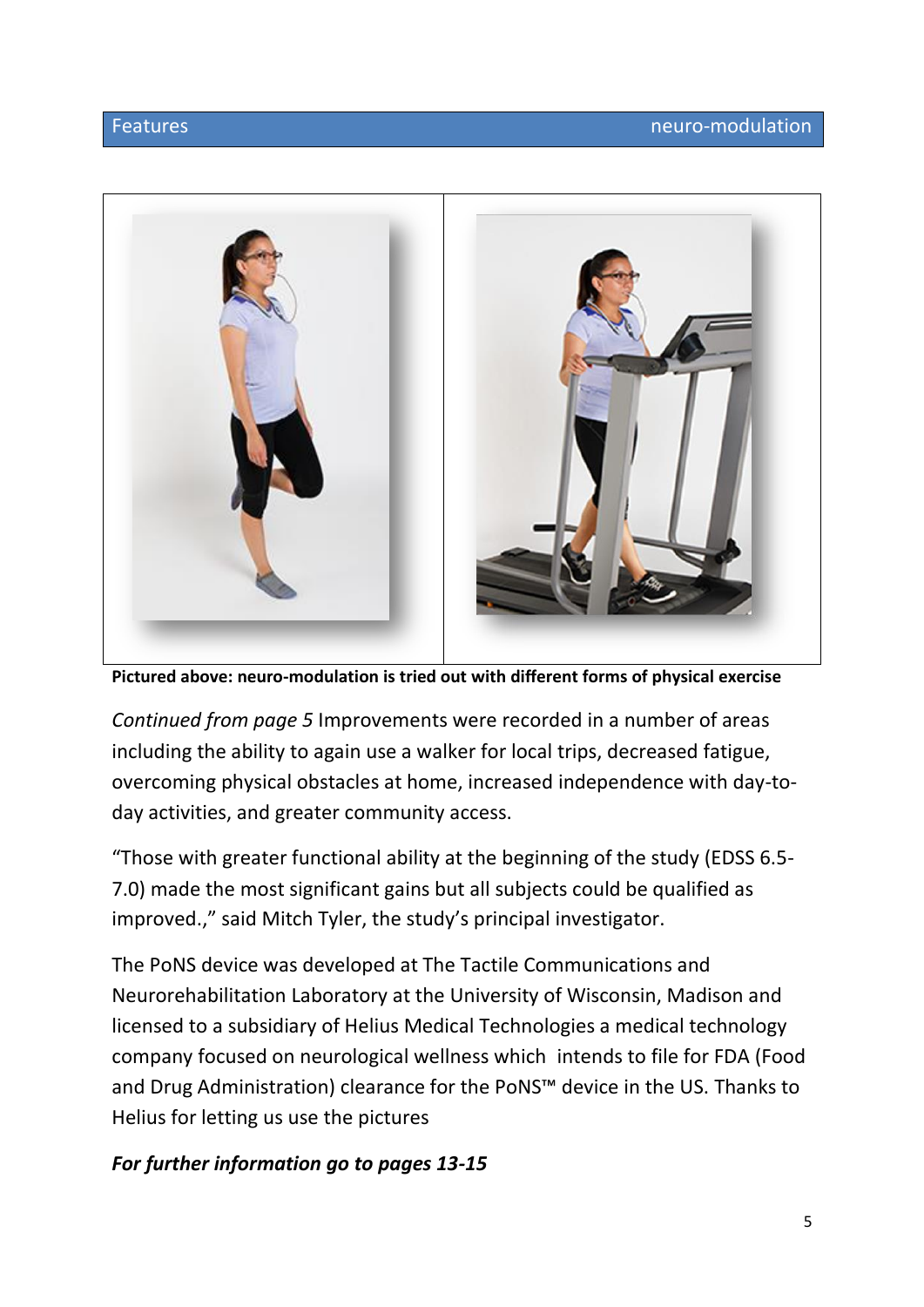

**Pictured above: neuro-modulation is tried out with different forms of physical exercise**

*Continued from page 5* Improvements were recorded in a number of areas including the ability to again use a walker for local trips, decreased fatigue, overcoming physical obstacles at home, increased independence with day-today activities, and greater community access.

"Those with greater functional ability at the beginning of the study (EDSS 6.5- 7.0) made the most significant gains but all subjects could be qualified as improved.," said Mitch Tyler, the study's principal investigator.

The PoNS device was developed at The Tactile Communications and Neurorehabilitation Laboratory at the University of Wisconsin, Madison and licensed to a subsidiary of Helius Medical Technologies a medical technology company focused on neurological wellness which intends to file for FDA (Food and Drug Administration) clearance for the PoNS™ device in the US. Thanks to Helius for letting us use the pictures

## *For further information go to pages 13-15*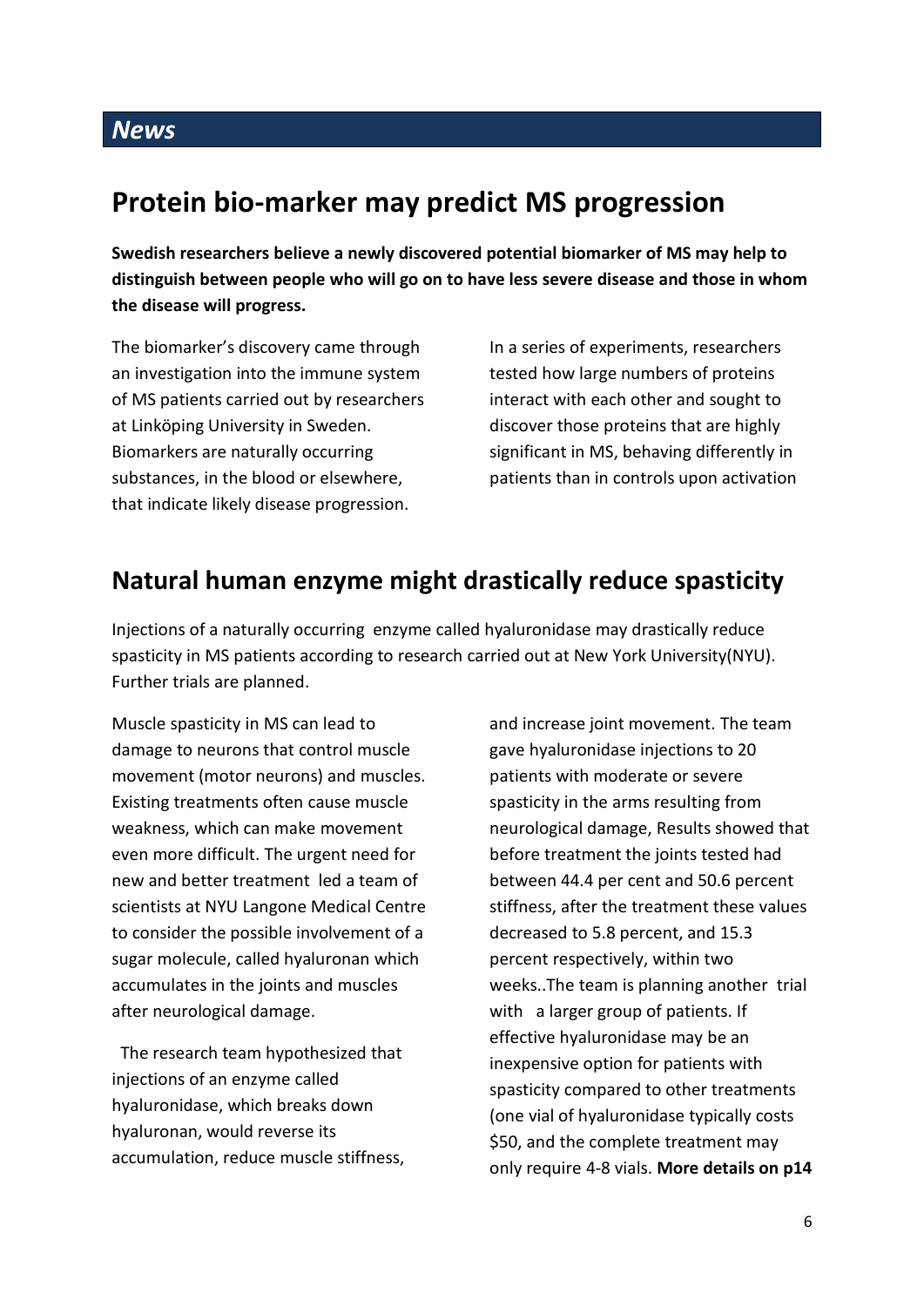# **Protein bio-marker may predict MS progression**

**Swedish researchers believe a newly discovered potential biomarker of MS may help to distinguish between people who will go on to have less severe disease and those in whom the disease will progress.** 

The biomarker's discovery came through an investigation into the immune system of MS patients carried out by researchers at Linköping University in Sweden. Biomarkers are naturally occurring substances, in the blood or elsewhere, that indicate likely disease progression.

In a series of experiments, researchers tested how large numbers of proteins interact with each other and sought to discover those proteins that are highly significant in MS, behaving differently in patients than in controls upon activation

# **Natural human enzyme might drastically reduce spasticity**

Injections of a naturally occurring enzyme called hyaluronidase may drastically reduce spasticity in MS patients according to research carried out at New York University(NYU). Further trials are planned.

Muscle spasticity in MS can lead to damage to neurons that control muscle movement (motor neurons) and muscles. Existing treatments often cause muscle weakness, which can make movement even more difficult. The urgent need for new and better treatment led a team of scientists at NYU Langone Medical Centre to consider the possible involvement of a sugar molecule, called hyaluronan which accumulates in the joints and muscles after neurological damage.

 The research team hypothesized that injections of an enzyme called hyaluronidase, which breaks down hyaluronan, would reverse its accumulation, reduce muscle stiffness, and increase joint movement. The team gave hyaluronidase injections to 20 patients with moderate or severe spasticity in the arms resulting from neurological damage, Results showed that before treatment the joints tested had between 44.4 per cent and 50.6 percent stiffness, after the treatment these values decreased to 5.8 percent, and 15.3 percent respectively, within two weeks..The team is planning another trial with a larger group of patients. If effective hyaluronidase may be an inexpensive option for patients with spasticity compared to other treatments (one vial of hyaluronidase typically costs \$50, and the complete treatment may only require 4-8 vials. **More details on p14**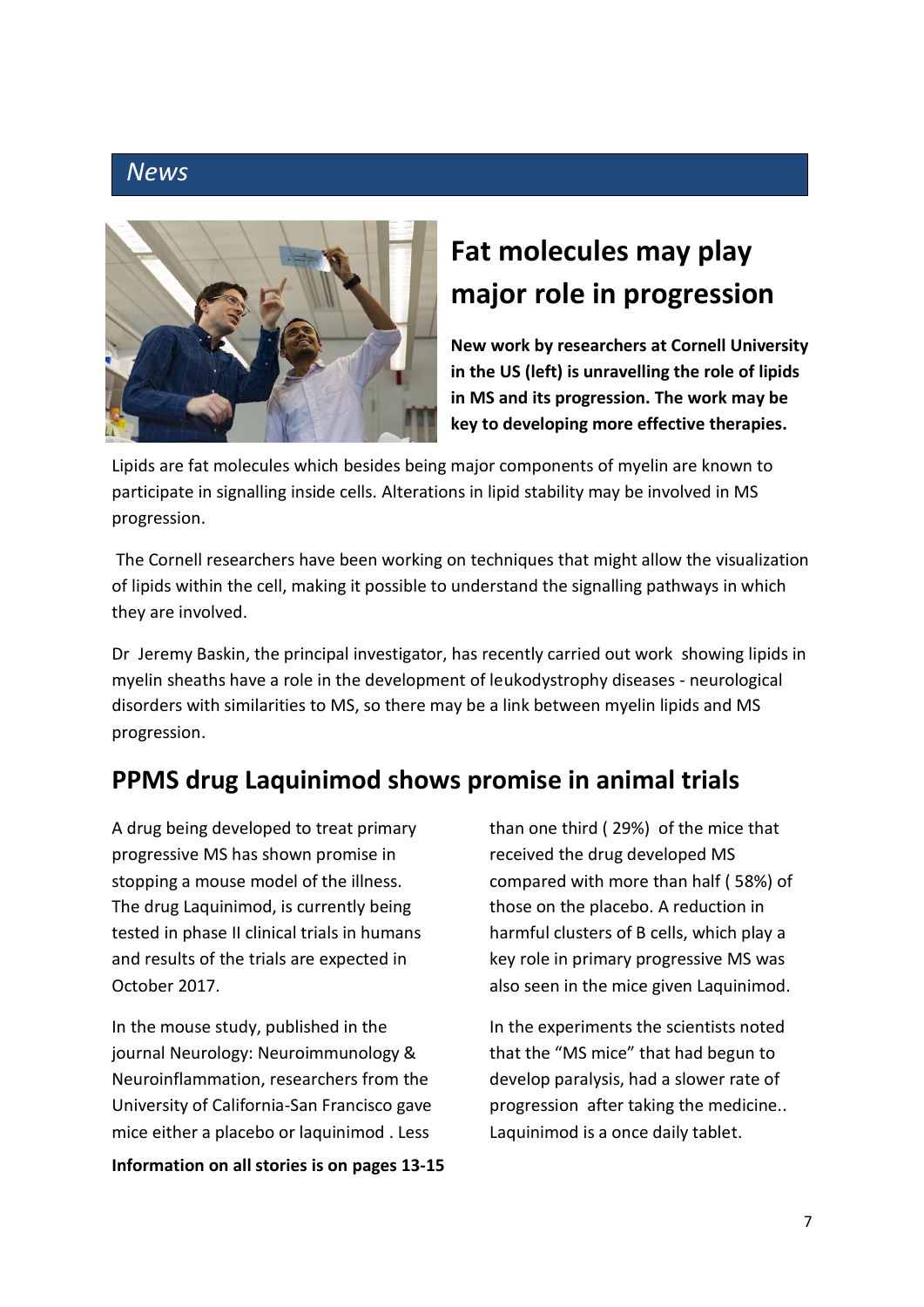

# **Fat molecules may play major role in progression**

**New work by researchers at Cornell University in the US (left) is unravelling the role of lipids in MS and its progression. The work may be key to developing more effective therapies.**

Lipids are fat molecules which besides being major components of myelin are known to participate in signalling inside cells. Alterations in lipid stability may be involved in MS progression.

The Cornell researchers have been working on techniques that might allow the visualization of lipids within the cell, making it possible to understand the signalling pathways in which they are involved.

Dr Jeremy Baskin, the principal investigator, has recently carried out work showing lipids in myelin sheaths have a role in the development of leukodystrophy diseases - neurological disorders with similarities to MS, so there may be a link between myelin lipids and MS progression.

# **PPMS drug Laquinimod shows promise in animal trials**

A drug being developed to treat primary progressive MS has shown promise in stopping a mouse model of the illness. The drug Laquinimod, is currently being tested in phase II clinical trials in humans and results of the trials are expected in October 2017.

In the mouse study, published in the journal Neurology: Neuroimmunology & Neuroinflammation, researchers from the University of California-San Francisco gave mice either a placebo or laquinimod . Less

**Information on all stories is on pages 13-15**

than one third ( 29%) of the mice that received the drug developed MS compared with more than half ( 58%) of those on the placebo. A reduction in harmful clusters of B cells, which play a key role in primary progressive MS was also seen in the mice given Laquinimod.

In the experiments the scientists noted that the "MS mice" that had begun to develop paralysis, had a slower rate of progression after taking the medicine.. Laquinimod is a once daily tablet.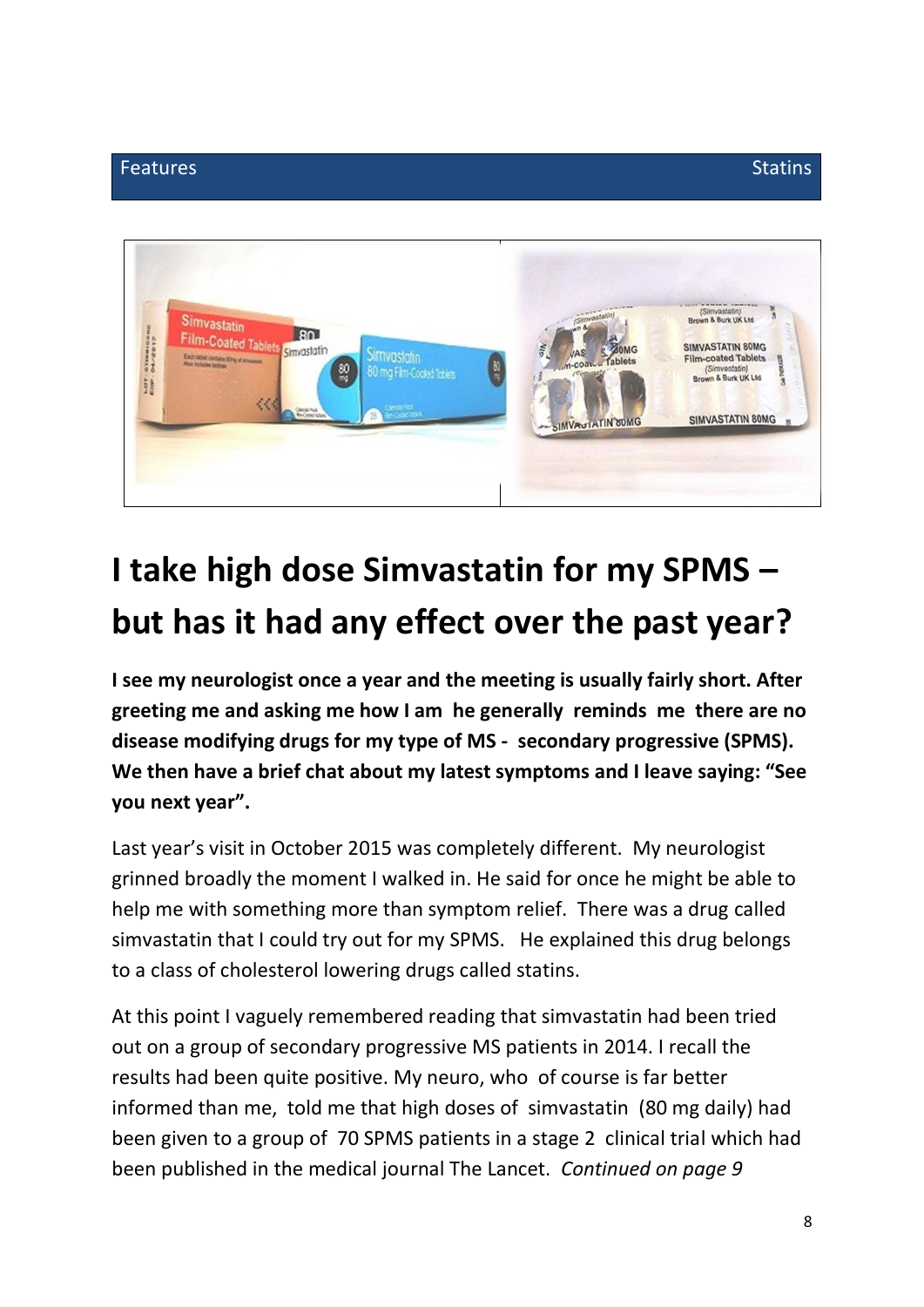

# **I take high dose Simvastatin for my SPMS – but has it had any effect over the past year?**

**I see my neurologist once a year and the meeting is usually fairly short. After greeting me and asking me how I am he generally reminds me there are no disease modifying drugs for my type of MS - secondary progressive (SPMS). We then have a brief chat about my latest symptoms and I leave saying: "See you next year".**

Last year's visit in October 2015 was completely different. My neurologist grinned broadly the moment I walked in. He said for once he might be able to help me with something more than symptom relief. There was a drug called simvastatin that I could try out for my SPMS. He explained this drug belongs to a class of cholesterol lowering drugs called statins.

At this point I vaguely remembered reading that simvastatin had been tried out on a group of secondary progressive MS patients in 2014. I recall the results had been quite positive. My neuro, who of course is far better informed than me, told me that high doses of simvastatin (80 mg daily) had been given to a group of 70 SPMS patients in a stage 2 clinical trial which had been published in the medical journal The Lancet. *Continued on page 9*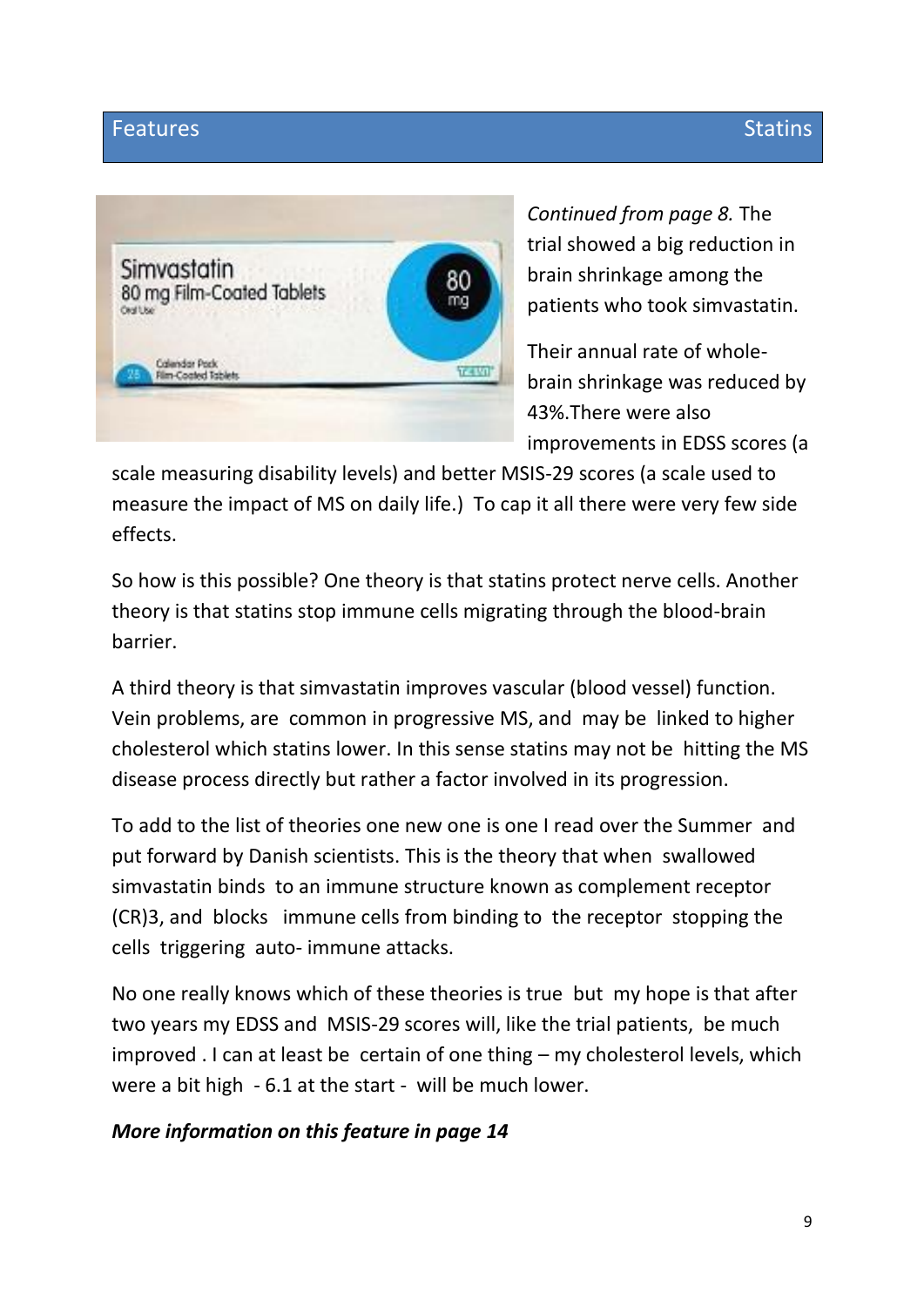# Features Statins and Stating Stating Stating Stating Stating Stating Stating Stating



*Continued from page 8.* The trial showed a big reduction in brain shrinkage among the patients who took simvastatin.

Their annual rate of wholebrain shrinkage was reduced by 43%.There were also improvements in EDSS scores (a

scale measuring disability levels) and better MSIS-29 scores (a scale used to measure the impact of MS on daily life.) To cap it all there were very few side effects.

So how is this possible? One theory is that statins protect nerve cells. Another theory is that statins stop immune cells migrating through the blood-brain barrier.

A third theory is that simvastatin improves vascular (blood vessel) function. Vein problems, are common in progressive MS, and may be linked to higher cholesterol which statins lower. In this sense statins may not be hitting the MS disease process directly but rather a factor involved in its progression.

To add to the list of theories one new one is one I read over the Summer and put forward by Danish scientists. This is the theory that when swallowed simvastatin binds to an immune structure known as complement receptor (CR)3, and blocks immune cells from binding to the receptor stopping the cells triggering auto- immune attacks.

No one really knows which of these theories is true but my hope is that after two years my EDSS and MSIS-29 scores will, like the trial patients, be much improved . I can at least be certain of one thing – my cholesterol levels, which were a bit high - 6.1 at the start - will be much lower.

## *More information on this feature in page 14*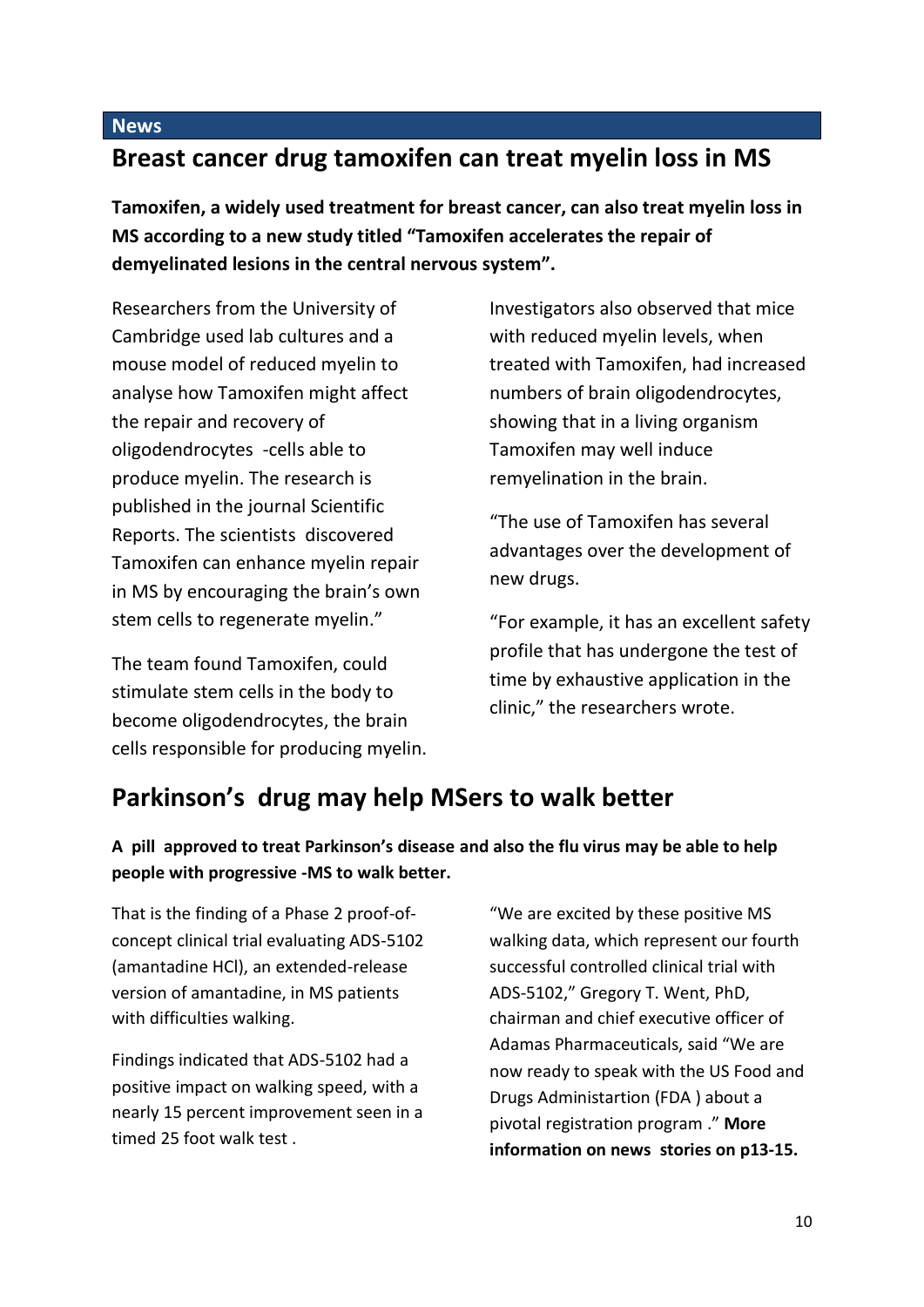# **Breast cancer drug tamoxifen can treat myelin loss in MS**

**Tamoxifen, a widely used treatment for breast cancer, can also treat myelin loss in MS according to a new study titled "Tamoxifen accelerates the repair of demyelinated lesions in the central nervous system".** 

Researchers from the University of Cambridge used lab cultures and a mouse model of reduced myelin to analyse how Tamoxifen might affect the repair and recovery of oligodendrocytes -cells able to produce myelin. The research is published in the journal Scientific Reports. The scientists discovered Tamoxifen can enhance myelin repair in MS by encouraging the brain's own stem cells to regenerate myelin."

The team found Tamoxifen, could stimulate stem cells in the body to become oligodendrocytes, the brain cells responsible for producing myelin.

Investigators also observed that mice with reduced myelin levels, when treated with Tamoxifen, had increased numbers of brain oligodendrocytes, showing that in a living organism Tamoxifen may well induce remyelination in the brain.

"The use of Tamoxifen has several advantages over the development of new drugs.

"For example, it has an excellent safety profile that has undergone the test of time by exhaustive application in the clinic," the researchers wrote.

# **Parkinson's drug may help MSers to walk better**

#### **A pill approved to treat Parkinson's disease and also the flu virus may be able to help people with progressive -MS to walk better.**

That is the finding of a Phase 2 proof-ofconcept clinical trial evaluating ADS-5102 (amantadine HCl), an extended-release version of amantadine, in MS patients with difficulties walking.

Findings indicated that ADS-5102 had a positive impact on walking speed, with a nearly 15 percent improvement seen in a timed 25 foot walk test .

"We are excited by these positive MS walking data, which represent our fourth successful controlled clinical trial with ADS-5102," Gregory T. Went, PhD, chairman and chief executive officer of Adamas Pharmaceuticals, said "We are now ready to speak with the US Food and Drugs Administartion (FDA ) about a pivotal registration program ." **More information on news stories on p13-15.**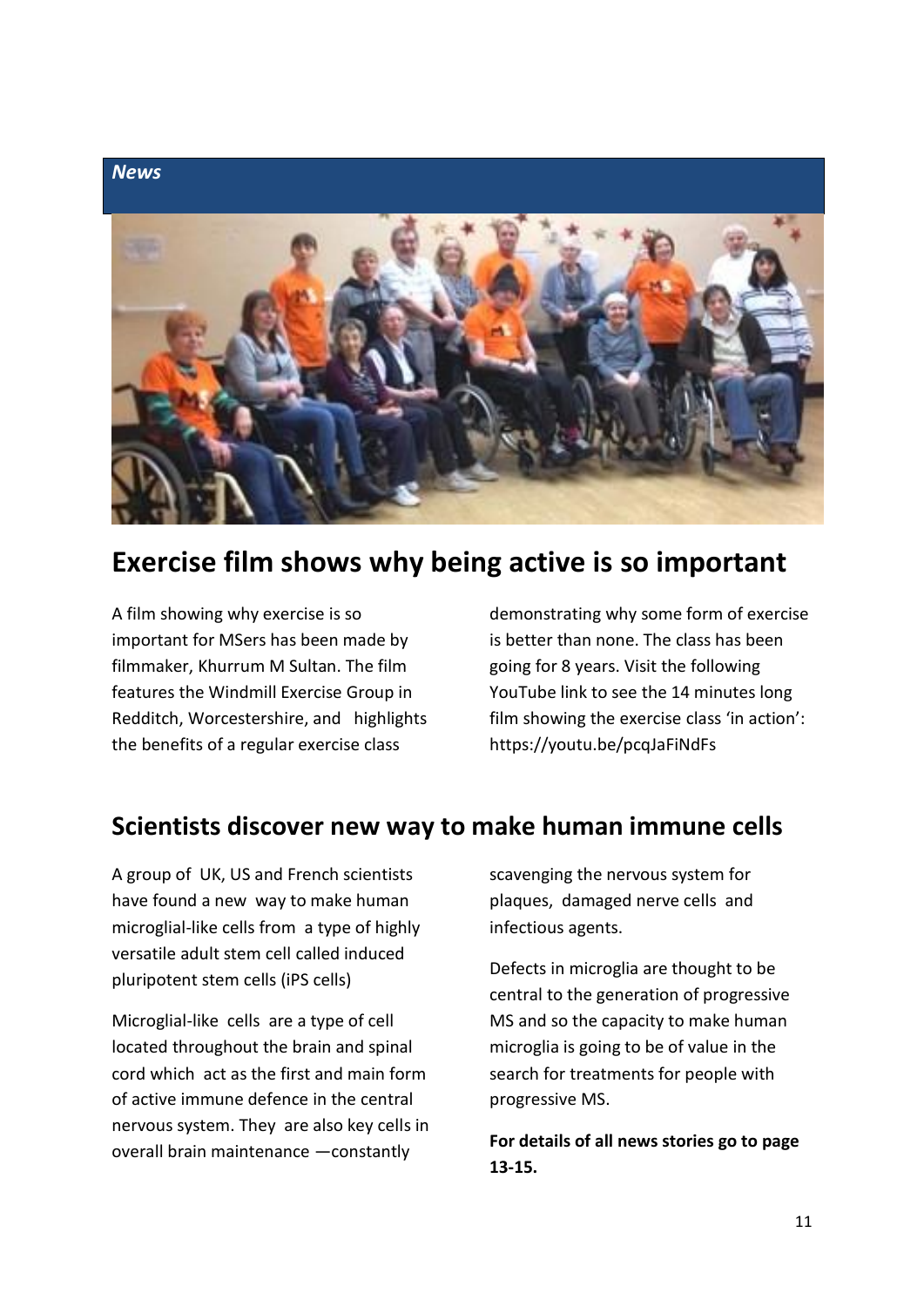

# **Exercise film shows why being active is so important**

A film showing why exercise is so important for MSers has been made by filmmaker, Khurrum M Sultan. The film features the Windmill Exercise Group in Redditch, Worcestershire, and highlights the benefits of a regular exercise class

demonstrating why some form of exercise is better than none. The class has been going for 8 years. Visit the following YouTube link to see the 14 minutes long film showing the exercise class 'in action': https://youtu.be/pcqJaFiNdFs

# **Scientists discover new way to make human immune cells**

A group of UK, US and French scientists have found a new way to make human microglial-like cells from a type of highly versatile adult stem cell called induced pluripotent stem cells (iPS cells)

Microglial-like cells are a type of cell located throughout the brain and spinal cord which act as the first and main form of active immune defence in the central nervous system. They are also key cells in overall brain maintenance —constantly

scavenging the nervous system for plaques, damaged nerve cells and infectious agents.

Defects in microglia are thought to be central to the generation of progressive MS and so the capacity to make human microglia is going to be of value in the search for treatments for people with progressive MS.

**For details of all news stories go to page 13-15.**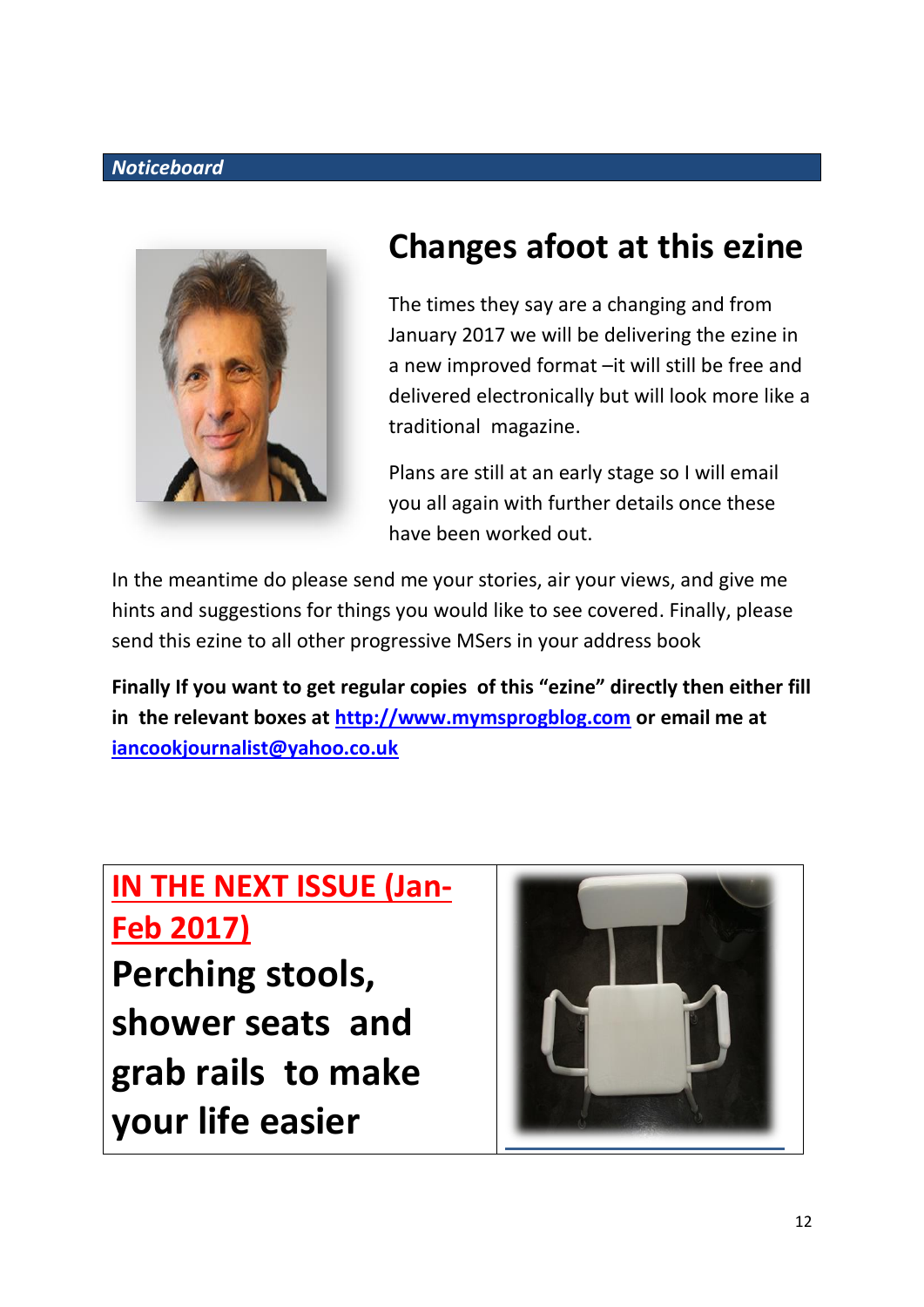## *Noticeboard*



# **Changes afoot at this ezine**

The times they say are a changing and from January 2017 we will be delivering the ezine in a new improved format –it will still be free and delivered electronically but will look more like a traditional magazine.

Plans are still at an early stage so I will email you all again with further details once these have been worked out.

In the meantime do please send me your stories, air your views, and give me hints and suggestions for things you would like to see covered. Finally, please send this ezine to all other progressive MSers in your address book

**Finally If you want to get regular copies of this "ezine" directly then either fill in the relevant boxes at [http://www.mymsprogblog.com](http://www.mymsprogblog.com/) or email me at [iancookjournalist@yahoo.co.uk](mailto:iancookjournalist@yahoo.co.uk)**

# **IN THE NEXT ISSUE (Jan-Feb 2017)**

**Perching stools, shower seats and grab rails to make your life easier** 

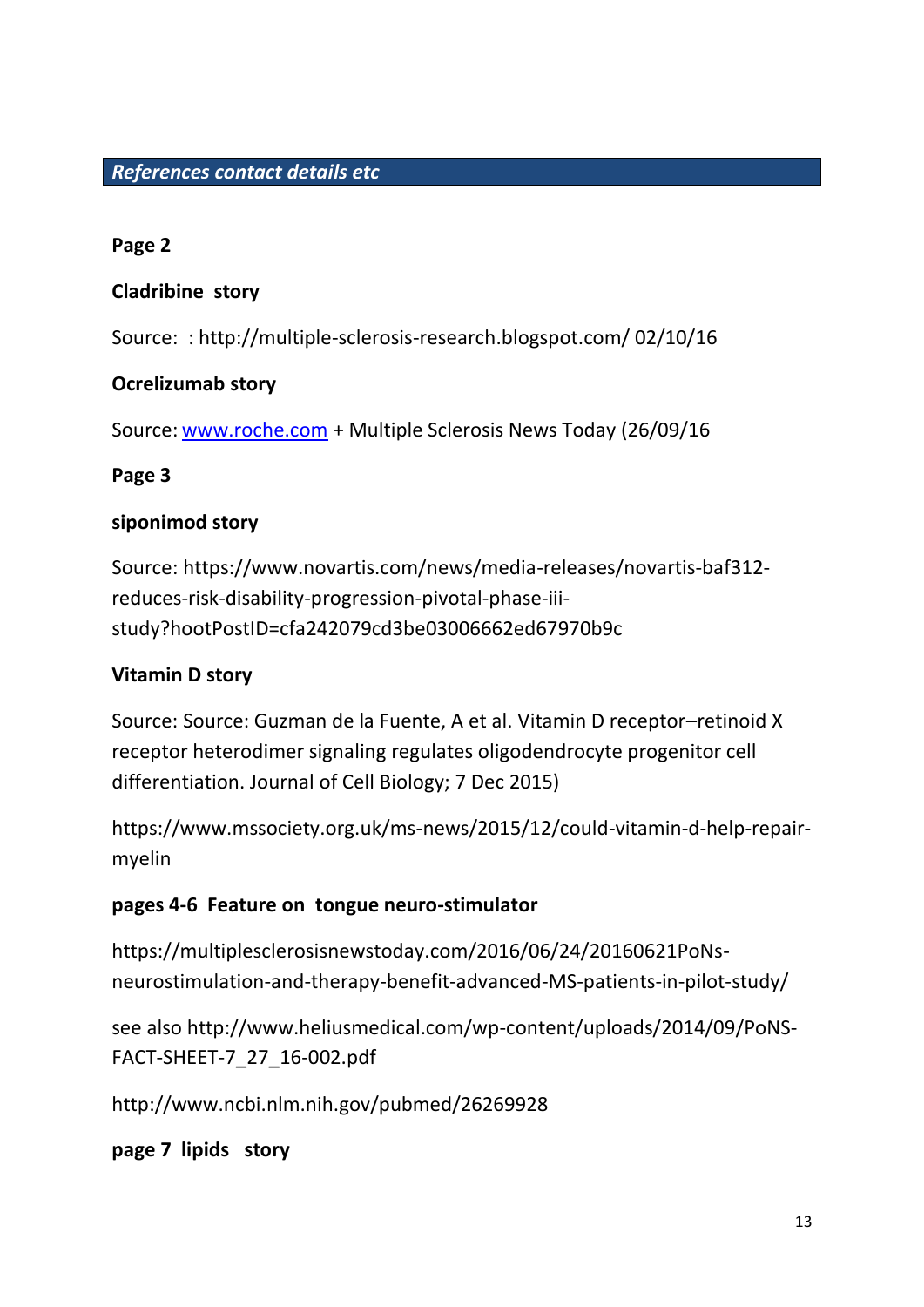## *References contact details etc*

#### **Page 2**

#### **Cladribine story**

Source: : http://multiple-sclerosis-research.blogspot.com/ 02/10/16

#### **Ocrelizumab story**

Source: [www.roche.com](http://www.roche.com/) + Multiple Sclerosis News Today (26/09/16

#### **Page 3**

#### **siponimod story**

Source: https://www.novartis.com/news/media-releases/novartis-baf312 reduces-risk-disability-progression-pivotal-phase-iiistudy?hootPostID=cfa242079cd3be03006662ed67970b9c

## **Vitamin D story**

Source: Source: Guzman de la Fuente, A et al. Vitamin D receptor–retinoid X receptor heterodimer signaling regulates oligodendrocyte progenitor cell differentiation. Journal of Cell Biology; 7 Dec 2015)

https://www.mssociety.org.uk/ms-news/2015/12/could-vitamin-d-help-repairmyelin

## **pages 4-6 Feature on tongue neuro-stimulator**

https://multiplesclerosisnewstoday.com/2016/06/24/20160621PoNsneurostimulation-and-therapy-benefit-advanced-MS-patients-in-pilot-study/

see also http://www.heliusmedical.com/wp-content/uploads/2014/09/PoNS-FACT-SHEET-7\_27\_16-002.pdf

http://www.ncbi.nlm.nih.gov/pubmed/26269928

**page 7 lipids story**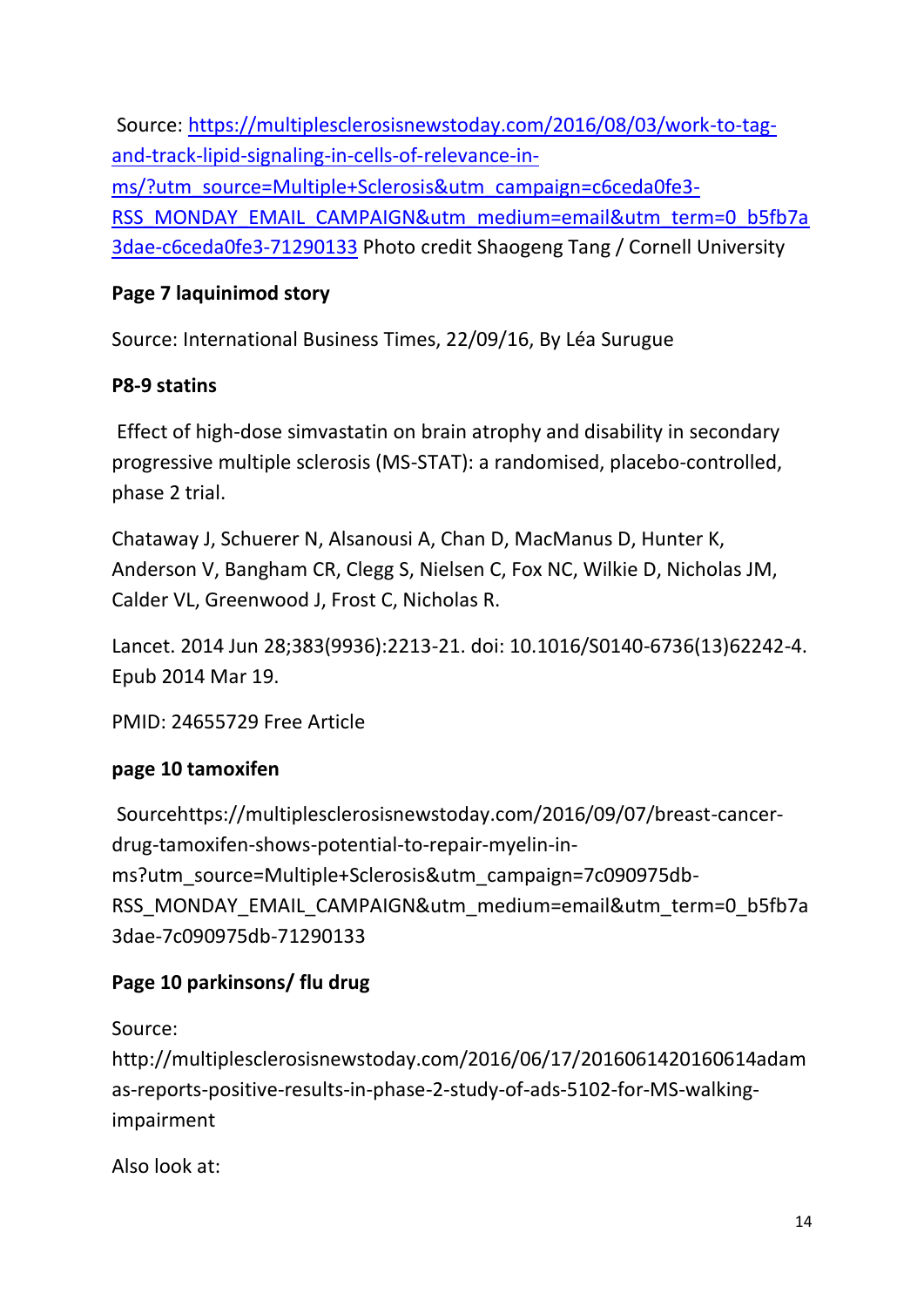Source: [https://multiplesclerosisnewstoday.com/2016/08/03/work-to-tag](https://multiplesclerosisnewstoday.com/2016/08/03/work-to-tag-and-track-lipid-signaling-in-cells-of-relevance-in-ms/?utm_source=Multiple+Sclerosis&utm_campaign=c6ceda0fe3-RSS_MONDAY_EMAIL_CAMPAIGN&utm_medium=email&utm_term=0_b5fb7a3dae-c6ceda0fe3-71290133)[and-track-lipid-signaling-in-cells-of-relevance-in](https://multiplesclerosisnewstoday.com/2016/08/03/work-to-tag-and-track-lipid-signaling-in-cells-of-relevance-in-ms/?utm_source=Multiple+Sclerosis&utm_campaign=c6ceda0fe3-RSS_MONDAY_EMAIL_CAMPAIGN&utm_medium=email&utm_term=0_b5fb7a3dae-c6ceda0fe3-71290133)[ms/?utm\\_source=Multiple+Sclerosis&utm\\_campaign=c6ceda0fe3-](https://multiplesclerosisnewstoday.com/2016/08/03/work-to-tag-and-track-lipid-signaling-in-cells-of-relevance-in-ms/?utm_source=Multiple+Sclerosis&utm_campaign=c6ceda0fe3-RSS_MONDAY_EMAIL_CAMPAIGN&utm_medium=email&utm_term=0_b5fb7a3dae-c6ceda0fe3-71290133) [RSS\\_MONDAY\\_EMAIL\\_CAMPAIGN&utm\\_medium=email&utm\\_term=0\\_b5fb7a](https://multiplesclerosisnewstoday.com/2016/08/03/work-to-tag-and-track-lipid-signaling-in-cells-of-relevance-in-ms/?utm_source=Multiple+Sclerosis&utm_campaign=c6ceda0fe3-RSS_MONDAY_EMAIL_CAMPAIGN&utm_medium=email&utm_term=0_b5fb7a3dae-c6ceda0fe3-71290133) [3dae-c6ceda0fe3-71290133](https://multiplesclerosisnewstoday.com/2016/08/03/work-to-tag-and-track-lipid-signaling-in-cells-of-relevance-in-ms/?utm_source=Multiple+Sclerosis&utm_campaign=c6ceda0fe3-RSS_MONDAY_EMAIL_CAMPAIGN&utm_medium=email&utm_term=0_b5fb7a3dae-c6ceda0fe3-71290133) Photo credit Shaogeng Tang / Cornell University

# **Page 7 laquinimod story**

Source: International Business Times, 22/09/16, By Léa Surugue

# **P8-9 statins**

Effect of high-dose simvastatin on brain atrophy and disability in secondary progressive multiple sclerosis (MS-STAT): a randomised, placebo-controlled, phase 2 trial.

Chataway J, Schuerer N, Alsanousi A, Chan D, MacManus D, Hunter K, Anderson V, Bangham CR, Clegg S, Nielsen C, Fox NC, Wilkie D, Nicholas JM, Calder VL, Greenwood J, Frost C, Nicholas R.

Lancet. 2014 Jun 28;383(9936):2213-21. doi: 10.1016/S0140-6736(13)62242-4. Epub 2014 Mar 19.

PMID: 24655729 Free Article

# **page 10 tamoxifen**

Sourcehttps://multiplesclerosisnewstoday.com/2016/09/07/breast-cancerdrug-tamoxifen-shows-potential-to-repair-myelin-inms?utm\_source=Multiple+Sclerosis&utm\_campaign=7c090975db-RSS\_MONDAY\_EMAIL\_CAMPAIGN&utm\_medium=email&utm\_term=0\_b5fb7a 3dae-7c090975db-71290133

# **Page 10 parkinsons/ flu drug**

Source:

http://multiplesclerosisnewstoday.com/2016/06/17/2016061420160614adam as-reports-positive-results-in-phase-2-study-of-ads-5102-for-MS-walkingimpairment

Also look at: